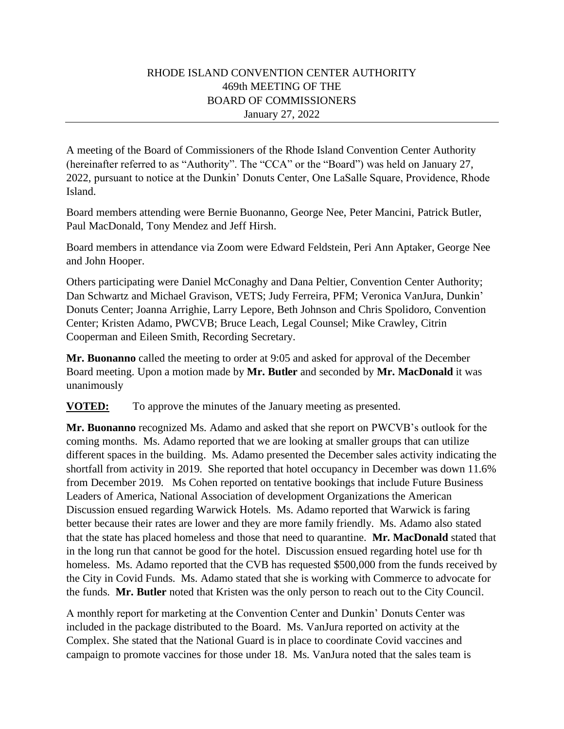## RHODE ISLAND CONVENTION CENTER AUTHORITY 469th MEETING OF THE BOARD OF COMMISSIONERS January 27, 2022

A meeting of the Board of Commissioners of the Rhode Island Convention Center Authority (hereinafter referred to as "Authority". The "CCA" or the "Board") was held on January 27, 2022, pursuant to notice at the Dunkin' Donuts Center, One LaSalle Square, Providence, Rhode Island.

Board members attending were Bernie Buonanno, George Nee, Peter Mancini, Patrick Butler, Paul MacDonald, Tony Mendez and Jeff Hirsh.

Board members in attendance via Zoom were Edward Feldstein, Peri Ann Aptaker, George Nee and John Hooper.

Others participating were Daniel McConaghy and Dana Peltier, Convention Center Authority; Dan Schwartz and Michael Gravison, VETS; Judy Ferreira, PFM; Veronica VanJura, Dunkin' Donuts Center; Joanna Arrighie, Larry Lepore, Beth Johnson and Chris Spolidoro, Convention Center; Kristen Adamo, PWCVB; Bruce Leach, Legal Counsel; Mike Crawley, Citrin Cooperman and Eileen Smith, Recording Secretary.

**Mr. Buonanno** called the meeting to order at 9:05 and asked for approval of the December Board meeting. Upon a motion made by **Mr. Butler** and seconded by **Mr. MacDonald** it was unanimously

**VOTED:** To approve the minutes of the January meeting as presented.

**Mr. Buonanno** recognized Ms. Adamo and asked that she report on PWCVB's outlook for the coming months. Ms. Adamo reported that we are looking at smaller groups that can utilize different spaces in the building. Ms. Adamo presented the December sales activity indicating the shortfall from activity in 2019. She reported that hotel occupancy in December was down 11.6% from December 2019. Ms Cohen reported on tentative bookings that include Future Business Leaders of America, National Association of development Organizations the American Discussion ensued regarding Warwick Hotels. Ms. Adamo reported that Warwick is faring better because their rates are lower and they are more family friendly. Ms. Adamo also stated that the state has placed homeless and those that need to quarantine. **Mr. MacDonald** stated that in the long run that cannot be good for the hotel. Discussion ensued regarding hotel use for th homeless. Ms. Adamo reported that the CVB has requested \$500,000 from the funds received by the City in Covid Funds. Ms. Adamo stated that she is working with Commerce to advocate for the funds. **Mr. Butler** noted that Kristen was the only person to reach out to the City Council.

A monthly report for marketing at the Convention Center and Dunkin' Donuts Center was included in the package distributed to the Board. Ms. VanJura reported on activity at the Complex. She stated that the National Guard is in place to coordinate Covid vaccines and campaign to promote vaccines for those under 18. Ms. VanJura noted that the sales team is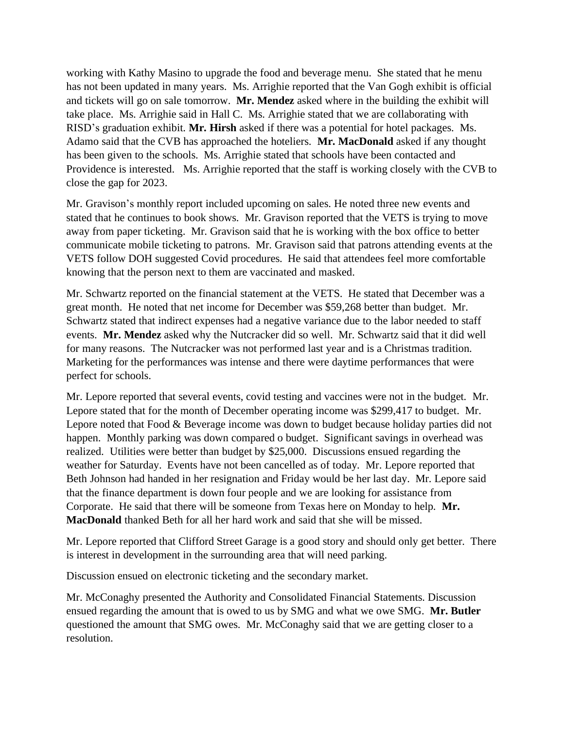working with Kathy Masino to upgrade the food and beverage menu. She stated that he menu has not been updated in many years. Ms. Arrighie reported that the Van Gogh exhibit is official and tickets will go on sale tomorrow. **Mr. Mendez** asked where in the building the exhibit will take place. Ms. Arrighie said in Hall C. Ms. Arrighie stated that we are collaborating with RISD's graduation exhibit. **Mr. Hirsh** asked if there was a potential for hotel packages. Ms. Adamo said that the CVB has approached the hoteliers. **Mr. MacDonald** asked if any thought has been given to the schools. Ms. Arrighie stated that schools have been contacted and Providence is interested. Ms. Arrighie reported that the staff is working closely with the CVB to close the gap for 2023.

Mr. Gravison's monthly report included upcoming on sales. He noted three new events and stated that he continues to book shows. Mr. Gravison reported that the VETS is trying to move away from paper ticketing. Mr. Gravison said that he is working with the box office to better communicate mobile ticketing to patrons. Mr. Gravison said that patrons attending events at the VETS follow DOH suggested Covid procedures. He said that attendees feel more comfortable knowing that the person next to them are vaccinated and masked.

Mr. Schwartz reported on the financial statement at the VETS. He stated that December was a great month. He noted that net income for December was \$59,268 better than budget. Mr. Schwartz stated that indirect expenses had a negative variance due to the labor needed to staff events. **Mr. Mendez** asked why the Nutcracker did so well. Mr. Schwartz said that it did well for many reasons. The Nutcracker was not performed last year and is a Christmas tradition. Marketing for the performances was intense and there were daytime performances that were perfect for schools.

Mr. Lepore reported that several events, covid testing and vaccines were not in the budget. Mr. Lepore stated that for the month of December operating income was \$299,417 to budget. Mr. Lepore noted that Food & Beverage income was down to budget because holiday parties did not happen. Monthly parking was down compared o budget. Significant savings in overhead was realized. Utilities were better than budget by \$25,000. Discussions ensued regarding the weather for Saturday. Events have not been cancelled as of today. Mr. Lepore reported that Beth Johnson had handed in her resignation and Friday would be her last day. Mr. Lepore said that the finance department is down four people and we are looking for assistance from Corporate. He said that there will be someone from Texas here on Monday to help. **Mr. MacDonald** thanked Beth for all her hard work and said that she will be missed.

Mr. Lepore reported that Clifford Street Garage is a good story and should only get better. There is interest in development in the surrounding area that will need parking.

Discussion ensued on electronic ticketing and the secondary market.

Mr. McConaghy presented the Authority and Consolidated Financial Statements. Discussion ensued regarding the amount that is owed to us by SMG and what we owe SMG. **Mr. Butler**  questioned the amount that SMG owes. Mr. McConaghy said that we are getting closer to a resolution.